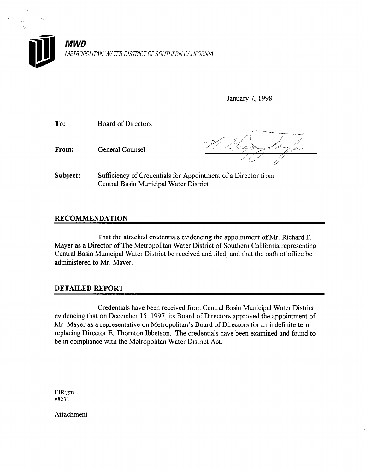

January 7, 1998

- To: Board of Directors
- From: General Counsel

Subject: Sufficiency of Credentials for Appointment of a Director from Central Basin Municipal Water District

## RECOMMENDATION

That the attached credentials evidencing the appointment of Mr. Richard F. Mayer as a Director of The Metropolitan Water District of Southern California representing Central Basin Municipal Water District be received and filed, and that the oath of office be administered to Mr. Mayer.

## DETAILED REPORT

Credentials have been received from Central Basin Municipal Water District evidencing that on December 15, 1997, its Board of Directors approved the appointment of Mr. Mayer as a representative on Metropolitan's Board of Directors for an indefinite term replacing Director E. Thornton Ibbetson. The credentials have been examined and found to be in compliance with the Metropolitan Water District Act.

clR:gm #8231

Attachment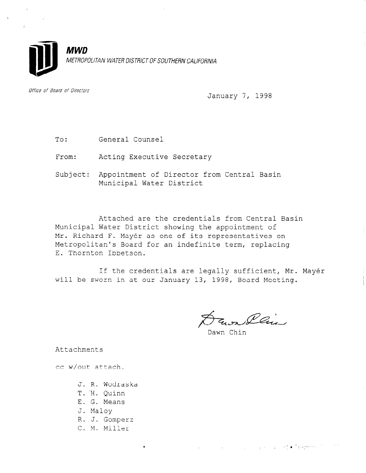

Office of Board of Directors

January 7, 1998

- To: General Counsel
- From: Acting Executive Secretary
- Subject: Appointment of Director from Central Basin Municipal Water District

Attached are the credentials from Central Basin Municipal Water District showing the appointment of Mr. Richard F. Mayér as one of its representatives on Metropolitan's Board for an indefinite term, replacing E. Thornton Ibbetson.

If the credentials are legally sufficient, Mr. Mayér will be sworn in at our January 13, 1998, Board Meeting.

 $\not\!\!\!\!\! \not\!\!\!\! \nearrow$ Fawr Llui

 $\mathbb{E}\left\{ \mathcal{L}^{\mathcal{A}}_{\mathcal{A}}\left(\mathcal{L}^{\mathcal{A}}_{\mathcal{A}}\right) \mathcal{L}^{\mathcal{A}}_{\mathcal{A}}\left(\mathcal{L}^{\mathcal{A}}_{\mathcal{A}}\right) \mathcal{L}^{\mathcal{A}}_{\mathcal{A}}\left(\mathcal{L}^{\mathcal{A}}_{\mathcal{A}}\right) \right\} \Rightarrow \widetilde{\mathcal{L}}^{\mathcal{A}}_{\mathcal{A}}\mathcal{B}_{\mathcal{A}}^{\mathcal{A}}\mathcal{B}_{\mathcal{A}}^{\mathcal{A}}\mathcal{B}_{\math$ 

 $\mathcal{L}_{\text{max}}$  and  $\mathcal{L}_{\text{max}}$ 

Attachments

cc w/out attach.

- J. R. Wodraska
- T. 'H. Quinn
- E. G. Means
- J. Maloy
- R. J. Gomperz

 $\bullet$ 

C. M. Miller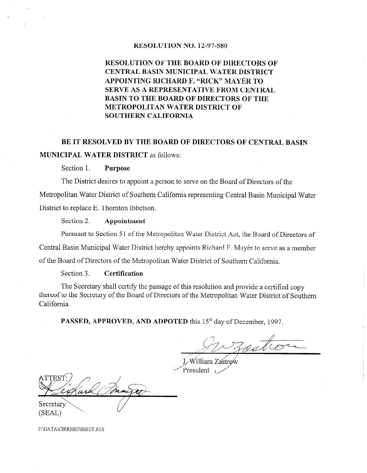#### RESOLUTION NO. 12-97-580

# RESOLUTION OF THE BOARD OF DIRECTORS OF CENTRAL BASIN MUNICIPAL WATER DISTRICT APPOINTING RICHARD F. 'RICK" MAYfiR TO SERVE AS A REPRESENTATIVE FROM CENTRAL BASIN TO THE BOARD OF DIRECTORS OF THE METROPOLITAN WATER DISTRICT OF SOUTHERN CALIFORNIA

# BE IT RESOLVED BY THE BOARD OF DIRECTORS OF CENTRAL BASIN MUNICIPAL WATER DISTRICT as follows:

#### Section 1. Purpose

The District desires to appoint a person to serve on the Board of Directors of the Metropolitan Water District of Southern California representing Central Basin Municipal Water District to replace E. Thornton Ibbetson.

#### Section 2. Appointment

Pursuant to Section 51 of the Metropolitan Water District Act, the Board of Directors of

Central Basin Municipal Water District hereby appoints Richard F. Mayer to serve as a member

of the Board of Directors of the Metropolitan Water District of Southern California.

#### Section 3. Certification

The Secretary shall certify the passage of this resolution and provide a certified copy thereof to the Secretary of the Board of Directors of the Metropolitan Water District of Southern California.

PASSED, APPROVED, AND ADPOTED this 15<sup>th</sup> day of December, 1997.

Zostie

William Zastro President

Secretary  $(SEAL)$ 

F:\DATA\CB\RESO\IBBET.RES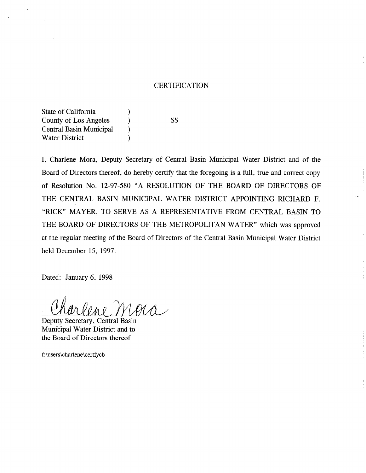#### **CERTIFICATION**

State of California (1) County of Los Angeles (SS) Central Basin Municipal ) Water District (1997)

I, Charlene Mora, Deputy Secretary of Central Basin Municipal Water District and of the Board of Directors thereof, do hereby certify that the foregoing is a full, true and correct copy of Resolution No. 12-97-580 "A RESOLUTION OF THE BOARD OF DIRECTORS OF THE CENTRAL BASIN MUNICIPAL WATER DISTRICT APPOINTING RICHARD F. "RICK" MAYER, TO SERVE AS A REPRESENTATIVE FROM CENTRAL BASIN TO THE BOARD OF DIRECTORS OF THE METROPOLITAN WATER" which was approved at the regular meeting of the Board of Directors of the Central Basin Municipal Water District held December 15, 1997.

Dated: January 6, 1998

Charlene MAA

Municipal Water District and to the Board of Directors thereof

f:\users\charlene\certfycb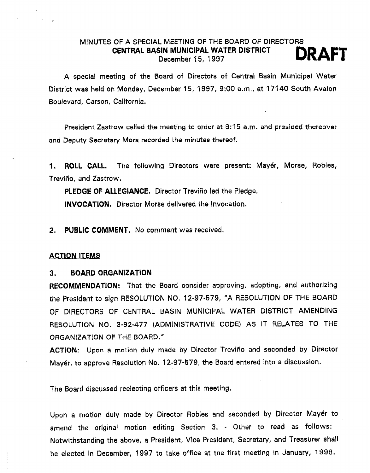# MINUTES OF A SPECIAL MEETING OF THE BOARD OF DIRECTORS CENTRAL BASIN MUNICIPAL WATER DISTRICT **DRAFT**

A special meeting of the Board of Directors of Central Basin Municipal Water District was held on Monday, December 15, 1997, 9:00 a.m,, at 17140 South Avalon Boulevard, Carson, California.

President Zastrow called the meeting to order at 9:15 a,m. and presided thereover and Deputy Sectetary Mora recorded the minutes thereof.

1. ROLL CALL. The following Directors were present: Mayér, Morse, Robles, Treviño, and Zastrow.

PLEDGE OF ALLEGIANCE. Director Treviño led the Pledge.

INVOCATION. Director Morse delivered the Invocation.

2. PUBLIC COMMENT, No comment was received.

#### **ACTION ITEMS**

#### 3. BOARD ORGANIZATION

RECOMMENDATION: That the Board consider approving, adopting, and authorizing the President to sign RESOLUTION NO, 12-97-579, "A RESOLUTION OF THE BOARD OF DIRECTORS OF CENTRAL BASIN MUNICIPAL WATER DISTRICT AMENDING RESOLUTION NO. 3-92-477 (ADMINISTRATIVE CODE) AS IT RELATES TO THE ORGANIZATION OF THE BOARD."

ACTION: Upon a motion duly made by Director Treviño and seconded by Director Mayér, to approve Resolution No. 12-97-579, the Board entered into a discussion.

The Board discussed reelecting officers at this meeting,

Upon a motion duly made by Director Robles and seconded by Director Mayer to amend the original motion editing Section 3. - Other to read as follows: Notwithstanding the above, a President, Vice President, Secretary, and Treasurer shall be elected in December, 1997 to take office at the first meeting in January, 1998.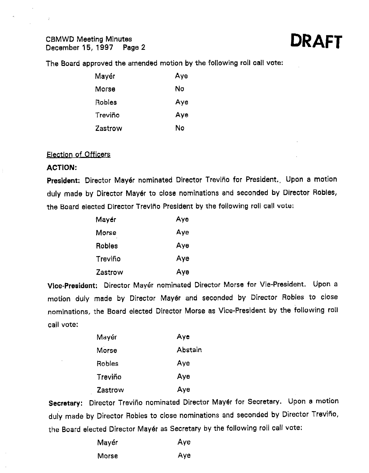# CBMWD Meeting Minutes<br>December 15, 1997 Pag

tes<br>Page 2 **DRAFT** 

The Board approved the amended motion by the following roll call vote:

| Mayér   | Aye |
|---------|-----|
| Morse   | No  |
| Robles  | Aye |
| Treviño | Aye |
| Zastrow | N٥  |

### Election of Officers

#### ACTION:

÷.

President: Director Mayér nominated Director Treviño for President. Upon a motion duly made by Director Mayér to close nominations and seconded by Director Robles, the Board elected Director Treviño President by the following roll call vote:

| Mayér   | Aye |
|---------|-----|
| Morse   | Aye |
| Robles  | Aye |
| Treviño | Aye |
| Zastrow | Aye |

Wee-President: Director Mayer nominated Director Morse for Vie-President. Upon a motion duly made by Director Mayér and seconded by Director Robles to close nominations, the Board elected Director Morse as Vice-President by the following roll call vote:

| Mayér   | Aye     |
|---------|---------|
| Morse   | Abstain |
| Robles  | Aye     |
| Treviño | Aye     |
| Zastrow | Ауе     |

Secretary: Director Treviño nominated Director Mayer for Secretary. Upon a motion duly made by Director Robles to close nominations and seconded by Director Treviño, the Board elected Director  $\mathcal{B}$  as Secretary by the following roll call vote:  $\mathcal{B}$ 

| Mayér | Aye |
|-------|-----|
| Morse | Aye |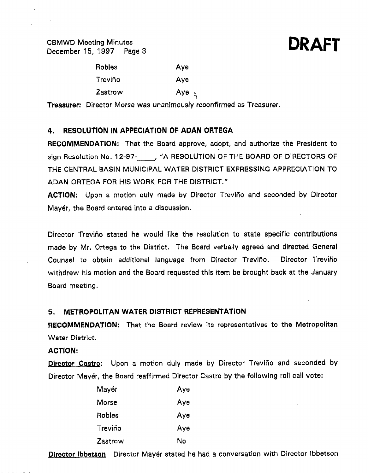CBMWD Meeting Minutes CBMWD Meeting Minutes<br>December 15, 1997 Page 3 DRAFT



| <b>Robles</b>  | Aye          |
|----------------|--------------|
| Treviño        | Aye          |
| <b>Zastrow</b> | Aye $\alpha$ |

Treasurer: Director Morse was unanimously reconfirmed as Treasurer.

# 4. RESOLUTION IN APPECIATION OF ADAN ORTEGA

RECOMMENDATION: That the Board approve, adopt, and authorize the President to sign Resolution No. 12-97- <sub>(a)</sub> "A RESOLUTION OF THE BOARD OF DIRECTORS OF THE CENTRAL BASIN MUNICIPAL WATER DISTRICT EXPRESSING APPRECIATION TO ADAN ORTEGA FOR HIS WORK FOR THE DISTRICT,"

ACTION: Upon a motion duly made by Director Treviño and seconded by Director Mayer, the Board entered into a discussion.

Director Trevifio stated he would like the resolution to state specific contributions made by Mr. Ortega to the District. The Board verbally agreed and directed General Counsel to obtain additional language from Director Treviño. Director Treviño withdrew his motion and the Board requested this item be brought back at the January Board meeting.

# 5. METROPOLITAN WATER DISTRICT REPRESENTATION

RECOMMENDATION: That the Board review its representatives to the Metropolitan Water District.

#### ACTION:

Director Castro: Upon a motion duly made by Director Treviño and seconded by Director Mayér, the Board reaffirmed Director Castro by the following roll call vote:

| Mayér         | Aye |
|---------------|-----|
| Morse         | Aye |
| <b>Robles</b> | Ауө |
| Treviño       | Aye |
| Zastrow       | No  |

Director Ibbetson: Director Mayér stated he had a conversation with Director Ibbetson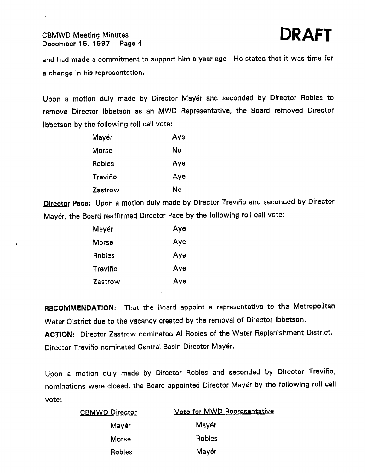# CBMWD Meeting Minutes December 15, 1997 Page 4

and had made a commitment to support him a year ago. He stated that it was time for a change in his representation.

Upon a motion duly made by Director Mayer and seconded by Director Robles to remove Director lbbetson as an MWD Representative, the Board removed Director lbbetson by the following roll call vote:

| Mayér   | Aye |
|---------|-----|
| Morse   | No  |
| Robles  | Aye |
| Treviño | Aye |
| Zastrow | Nο  |

Director Pace: Upon a motion duly made by Director Treviño and seconded by Director Mayer, the Board reaffirmed Director Pace by the following roll call vote:

| Mayér        | Aye |
|--------------|-----|
| <b>Morse</b> | Aye |
| Robles       | Aye |
| Treviño      | Aye |
| Zastrow      | Aye |

RECOMMENDATlON: That the Board appoint a representative to the Metropolitan Water District due to the vacancy created by the removal of Director Ibbetson. ACTION: Director Zastrow nominated Al Robles of the Water Replenishment District. Director Trevifio nominated Central Basin Director Mayer,

Upon a motion duly made by Director Robles and seconded by Director Trevifio, nominations were closed, the Board appointed Director Mayer by the following roll call vote:

| <b>CBMWD Director</b> | Vote for MWD Representative |
|-----------------------|-----------------------------|
| Mayér                 | Mayér                       |
| Morse                 | <b>Robles</b>               |
| <b>Robles</b>         | Mayér                       |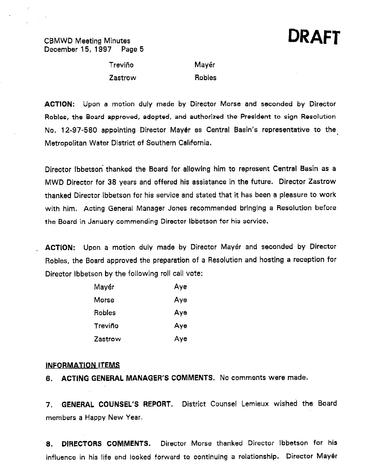### CEMWD Meeting Minutes December 15, 1997 Page 5

# DRAFT

Treviño Zastrow Mayér

**Robles** 

ACTION: Upon a motion duly made by Director Morse and seconded by Director Robles, the Board approved, adopted, and authorized the President to sign Resolution No, 12-97-580 appointing Director Mayer as Central Basin's representative to the Metropolitan Water District of Southern California.

Director Ibbetson' thanked the Board for allowing him to represent Central Basin as a MWD Director for 38 years and offered his assistance in the future. Director Zastrow thanked Director ibbetson for his service and stated that it has been a pleasure to work with him, Acting General Manager Jones recommended bringing a Resolution before the Board in January commending Director ibbetson for his service.

ACTION: Upon a motion duly made by Director Mayér and seconded by Director Robies, the Board approved the preparation of a Resolution and hosting a reception for Director Ibbetson by the following roll call vote:

| Mayér   | Aye |
|---------|-----|
| Morse   | Aye |
| Robles  | Ауө |
| Treviño | Aye |
| Zastrow | Aye |

#### INFORMATION ITEMS

6. ACTING GENERAL MANAGER'S COMMENTS. No comments were made.

7. GENERAL COUNSEL'S REPORT. District Counsel Lemieux wished the Board members a Happy New Year.

8. DIRECTORS COMMENTS, Director Morse thanked Director ibbetson for his influence in his life and looked forward to continuing a relationship. Director Mayer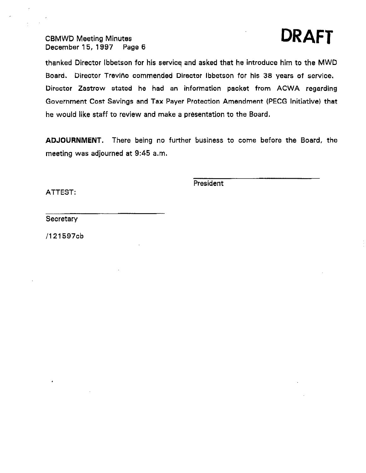# CBMWD Meeting Minutes<br>December 15, 1997 Page 6 December 15, 1997



thanked Director lbbetson for his servicq and asked that he introduce him to the MWD Board. Director Treviño commended Director Ibbetson for his 38 years of service, Director Zastrow stated he had an information packet from ACWA regarding Government Cost Savings and Tax Payer Protection Amendment (PECG Initiative) that he would like staff to review and make a presentation to the Board,

ADJOURNMENT, There being no further business to come before the Board, the meeting was adjourned at 9:45 a.m,

President

ATTEST:

**Secretary** 

/121597cb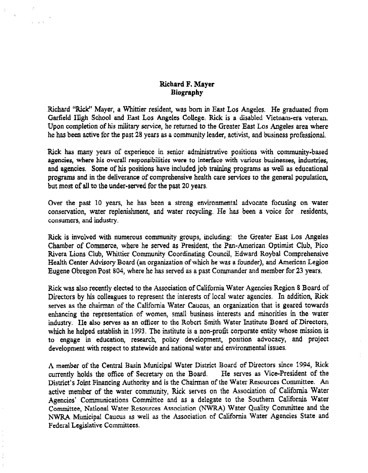### Richard F. Mayer **Biography**

Richard "Rick" Mayer, a Whittier resident, was born in East Los Angeles. He graduated from Garfield High School and East Los Angeles College, Rick is a disabled Vietnam-era veteran. Upon completion of his military service, he returned to the Greater East Los Angeles area where he has been active for the past 28 years as a community leader, activist, and business professional.

Rick has many years of experience in senior administrative positions with community-based agencies, where his overall responsibilities were to interface with various businesses, industries, and agencies. Some of his positions have included job training programs as well as educational programs and in the deliverance of comprehensive health care services to the general population, but most of all to the under-served for the past 20 years,

Over the past 10 years, he has been a strong environmental advocate focusing on water conservation, water replenishment, and water recycling. He has been a voice for residents, consumers, and industry.

Rick is involved with numerous community groups, including: the Greater East Los Angeles Not is my over which humerous community groups, meaning, the Oreater East Los Augusts Chamber of Commerce, where he served as President, the Pan-American Optimist Club, Pico Rivera Lions Club, Whittier Community Coordinating Council, Edward Roybal Comprehensive Health Center Advisory Board (an organization of which he was a founder), and American Legion<br>Eugene Obregon Post 804, where he has served as a past Commander and member for 23 years.

Rick was also recently elected to the Association of California Water Agencies Region 8 Board of Rick was also recently elected to the Association of California, water Agencies, Region 8, Board of Directors by his colleagues to represent the interests of local water agencies. In addition, Rick serves as the chairman of the California Water Caucus, an organization that is geared towards enhancing the representation of women, small business interests and minorities in the water industry. He also serves as an officer to the Robert Smith Water Institute Board of Directors, which he helped establish in 1993. The institute is a non-profit corporate entity whose mission is to engage in education, research, policy development, position advocacy, and project development with respect to statewide and national water and environmental issues.

A member of the Central Basin Municipal Water District Board of Directors since 1994, Rick A member of the Central Basin Municipal Water District Board of Directors since 1994, Rick<br>currently holds the office of Secretary on the Board. He serves as Vice-President of the currently holds the office of Secretary on the Board. District's Joint Financing Authority and is the Chairman of the Water Resources Committee. An active member of the water community, Rick serves on the Association of California Water Agencies' Communications Committee and as a delegate to the Southern California Water Committee, National Water Resources Association (NWRA) Water Quality Committee and the NWRA Municipal Caucus as well as the Association of California Water Agencies State and Federal Legislative Committees.